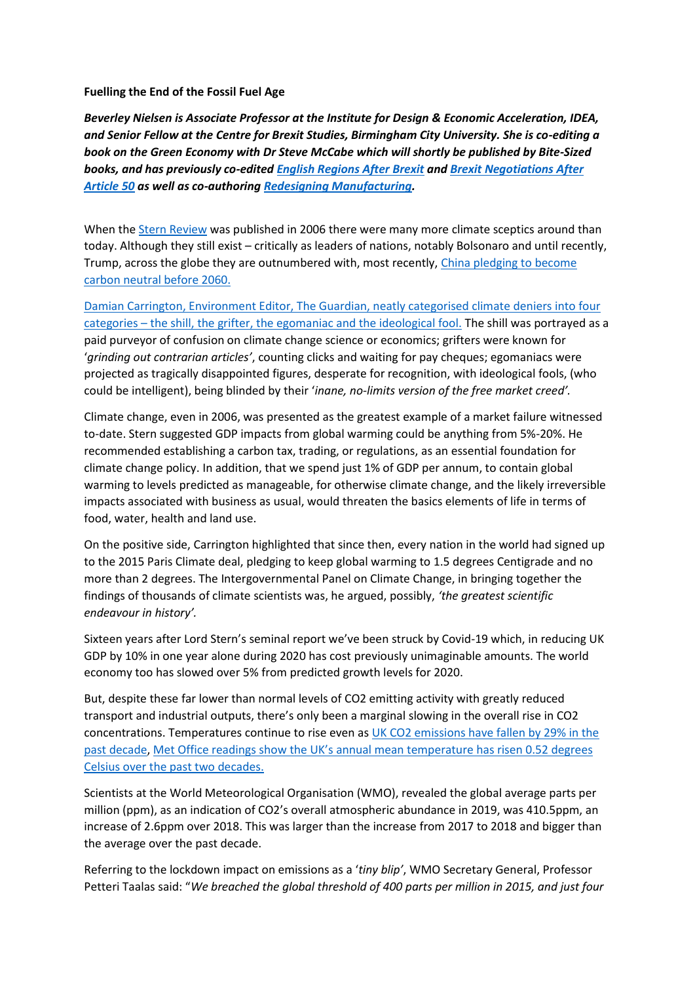## **Fuelling the End of the Fossil Fuel Age**

*Beverley Nielsen is Associate Professor at the Institute for Design & Economic Acceleration, IDEA, and Senior Fellow at the Centre for Brexit Studies, Birmingham City University. She is co-editing a book on the Green Economy with Dr Steve McCabe which will shortly be published by Bite-Sized books, and has previously co-edited [English Regions After Brexit](https://www.bite-sizedbooks.com/product/english-regions-after-brexit/) and [Brexit Negotiations After](https://www.amazon.co.uk/Brexit-Negotiations-After-50-Assessing/dp/1787697681)  [Article 50](https://www.amazon.co.uk/Brexit-Negotiations-After-50-Assessing/dp/1787697681) as well as co-authoring [Redesigning Manufacturing.](https://www.palgrave.com/gp/book/9781137465214)*

When the [Stern Review](https://www.lse.ac.uk/GranthamInstitute/publication/the-economics-of-climate-change-the-stern-review/) was published in 2006 there were many more climate sceptics around than today. Although they still exist – critically as leaders of nations, notably Bolsonaro and until recently, Trump, across the globe they are outnumbered with, most recently, [China pledging to become](https://www.theguardian.com/environment/2020/sep/22/china-pledges-to-reach-carbon-neutrality-before-2060)  [carbon neutral before 2060.](https://www.theguardian.com/environment/2020/sep/22/china-pledges-to-reach-carbon-neutrality-before-2060)

[Damian Carrington, Environment Editor, The Guardian, neatly categorised climate deniers into four](https://www.theguardian.com/commentisfree/2020/jul/30/climate-denier-shill-global-debate)  categories – [the shill, the grifter, the egomaniac and the ideological fool.](https://www.theguardian.com/commentisfree/2020/jul/30/climate-denier-shill-global-debate) The shill was portrayed as a paid purveyor of confusion on climate change science or economics; grifters were known for '*grinding out contrarian articles'*, counting clicks and waiting for pay cheques; egomaniacs were projected as tragically disappointed figures, desperate for recognition, with ideological fools, (who could be intelligent), being blinded by their '*inane, no-limits version of the free market creed'.*

Climate change, even in 2006, was presented as the greatest example of a market failure witnessed to-date. Stern suggested GDP impacts from global warming could be anything from 5%-20%. He recommended establishing a carbon tax, trading, or regulations, as an essential foundation for climate change policy. In addition, that we spend just 1% of GDP per annum, to contain global warming to levels predicted as manageable, for otherwise climate change, and the likely irreversible impacts associated with business as usual, would threaten the basics elements of life in terms of food, water, health and land use.

On the positive side, Carrington highlighted that since then, every nation in the world had signed up to the 2015 Paris Climate deal, pledging to keep global warming to 1.5 degrees Centigrade and no more than 2 degrees. The Intergovernmental Panel on Climate Change, in bringing together the findings of thousands of climate scientists was, he argued, possibly, *'the greatest scientific endeavour in history'.*

Sixteen years after Lord Stern's seminal report we've been struck by Covid-19 which, in reducing UK GDP by 10% in one year alone during 2020 has cost previously unimaginable amounts. The world economy too has slowed over 5% from predicted growth levels for 2020.

But, despite these far lower than normal levels of CO2 emitting activity with greatly reduced transport and industrial outputs, there's only been a marginal slowing in the overall rise in CO2 concentrations. Temperatures continue to rise even as [UK CO2 emissions have fallen by 29% in the](https://www.carbonbrief.org/analysis-uks-co2-emissions-have-fallen-29-per-cent-over-the-past-decade)  [past decade,](https://www.carbonbrief.org/analysis-uks-co2-emissions-have-fallen-29-per-cent-over-the-past-decade) [Met Office readings show the UK's annual mean temperature has risen 0.52 degrees](https://www.carbonbrief.org/new-met-office-data-shows-the-united-kingdom-is-warming-in-line-with-global-trends)  [Celsius over the past two decades.](https://www.carbonbrief.org/new-met-office-data-shows-the-united-kingdom-is-warming-in-line-with-global-trends)

Scientists at the World Meteorological Organisation (WMO), revealed the global average parts per million (ppm), as an indication of CO2's overall atmospheric abundance in 2019, was 410.5ppm, an increase of 2.6ppm over 2018. This was larger than the increase from 2017 to 2018 and bigger than the average over the past decade.

Referring to the lockdown impact on emissions as a '*tiny blip'*, WMO Secretary General, Professor Petteri Taalas said: "*We breached the global threshold of 400 parts per million in 2015, and just four*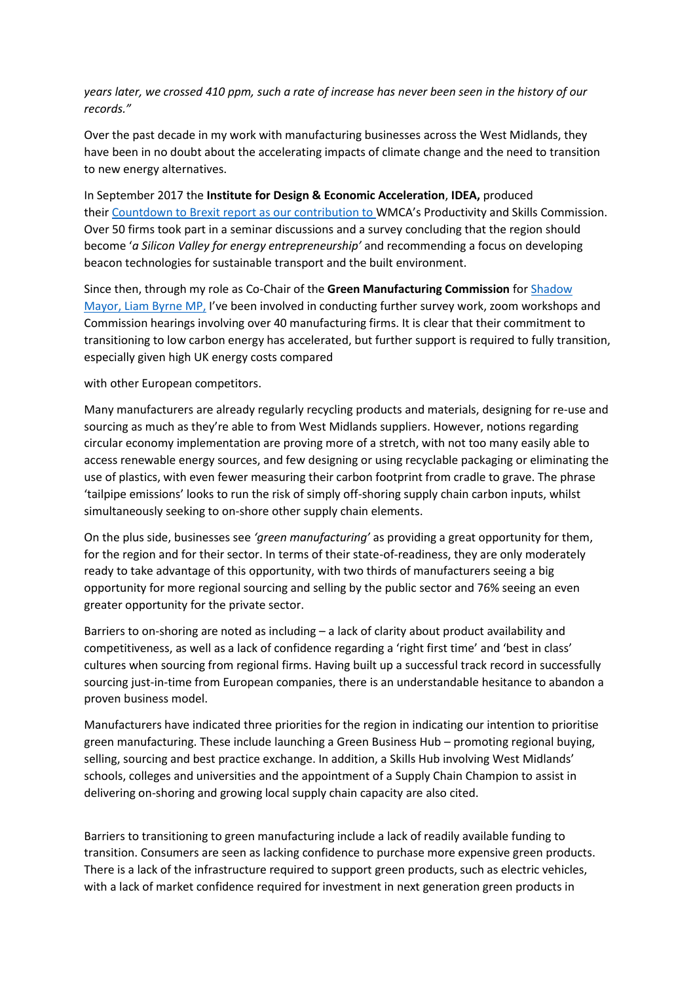*years later, we crossed 410 ppm, such a rate of increase has never been seen in the history of our records."*

Over the past decade in my work with manufacturing businesses across the West Midlands, they have been in no doubt about the accelerating impacts of climate change and the need to transition to new energy alternatives.

In September 2017 the **Institute for Design & Economic Acceleration**, **IDEA,** produced their [Countdown to Brexit report as our contribution to](https://bcuassets.blob.core.windows.net/docs/idea-institute-countdown-to-brexit-three-sector-131975459532816274.pdf) WMCA's Productivity and Skills Commission. Over 50 firms took part in a seminar discussions and a survey concluding that the region should become '*a Silicon Valley for energy entrepreneurship'* and recommending a focus on developing beacon technologies for sustainable transport and the built environment.

Since then, through my role as Co-Chair of the **Green Manufacturing Commission** for [Shadow](https://liambyrne.co.uk/)  [Mayor, Liam Byrne MP,](https://liambyrne.co.uk/) I've been involved in conducting further survey work, zoom workshops and Commission hearings involving over 40 manufacturing firms. It is clear that their commitment to transitioning to low carbon energy has accelerated, but further support is required to fully transition, especially given high UK energy costs compared

with other European competitors.

Many manufacturers are already regularly recycling products and materials, designing for re-use and sourcing as much as they're able to from West Midlands suppliers. However, notions regarding circular economy implementation are proving more of a stretch, with not too many easily able to access renewable energy sources, and few designing or using recyclable packaging or eliminating the use of plastics, with even fewer measuring their carbon footprint from cradle to grave. The phrase 'tailpipe emissions' looks to run the risk of simply off-shoring supply chain carbon inputs, whilst simultaneously seeking to on-shore other supply chain elements.

On the plus side, businesses see *'green manufacturing'* as providing a great opportunity for them, for the region and for their sector. In terms of their state-of-readiness, they are only moderately ready to take advantage of this opportunity, with two thirds of manufacturers seeing a big opportunity for more regional sourcing and selling by the public sector and 76% seeing an even greater opportunity for the private sector.

Barriers to on-shoring are noted as including – a lack of clarity about product availability and competitiveness, as well as a lack of confidence regarding a 'right first time' and 'best in class' cultures when sourcing from regional firms. Having built up a successful track record in successfully sourcing just-in-time from European companies, there is an understandable hesitance to abandon a proven business model.

Manufacturers have indicated three priorities for the region in indicating our intention to prioritise green manufacturing. These include launching a Green Business Hub – promoting regional buying, selling, sourcing and best practice exchange. In addition, a Skills Hub involving West Midlands' schools, colleges and universities and the appointment of a Supply Chain Champion to assist in delivering on-shoring and growing local supply chain capacity are also cited.

Barriers to transitioning to green manufacturing include a lack of readily available funding to transition. Consumers are seen as lacking confidence to purchase more expensive green products. There is a lack of the infrastructure required to support green products, such as electric vehicles, with a lack of market confidence required for investment in next generation green products in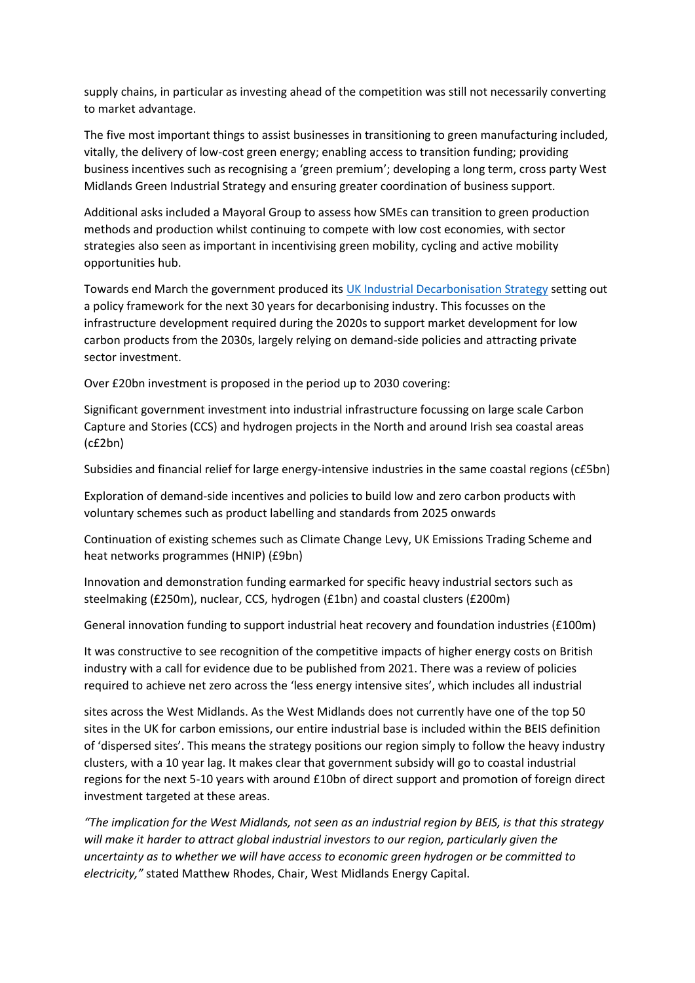supply chains, in particular as investing ahead of the competition was still not necessarily converting to market advantage.

The five most important things to assist businesses in transitioning to green manufacturing included, vitally, the delivery of low-cost green energy; enabling access to transition funding; providing business incentives such as recognising a 'green premium'; developing a long term, cross party West Midlands Green Industrial Strategy and ensuring greater coordination of business support.

Additional asks included a Mayoral Group to assess how SMEs can transition to green production methods and production whilst continuing to compete with low cost economies, with sector strategies also seen as important in incentivising green mobility, cycling and active mobility opportunities hub.

Towards end March the government produced its [UK Industrial Decarbonisation Strategy](https://www.gov.uk/government/publications/industrial-decarbonisation-strategy) setting out a policy framework for the next 30 years for decarbonising industry. This focusses on the infrastructure development required during the 2020s to support market development for low carbon products from the 2030s, largely relying on demand-side policies and attracting private sector investment.

Over £20bn investment is proposed in the period up to 2030 covering:

Significant government investment into industrial infrastructure focussing on large scale Carbon Capture and Stories (CCS) and hydrogen projects in the North and around Irish sea coastal areas (c£2bn)

Subsidies and financial relief for large energy-intensive industries in the same coastal regions (c£5bn)

Exploration of demand-side incentives and policies to build low and zero carbon products with voluntary schemes such as product labelling and standards from 2025 onwards

Continuation of existing schemes such as Climate Change Levy, UK Emissions Trading Scheme and heat networks programmes (HNIP) (£9bn)

Innovation and demonstration funding earmarked for specific heavy industrial sectors such as steelmaking (£250m), nuclear, CCS, hydrogen (£1bn) and coastal clusters (£200m)

General innovation funding to support industrial heat recovery and foundation industries (£100m)

It was constructive to see recognition of the competitive impacts of higher energy costs on British industry with a call for evidence due to be published from 2021. There was a review of policies required to achieve net zero across the 'less energy intensive sites', which includes all industrial

sites across the West Midlands. As the West Midlands does not currently have one of the top 50 sites in the UK for carbon emissions, our entire industrial base is included within the BEIS definition of 'dispersed sites'. This means the strategy positions our region simply to follow the heavy industry clusters, with a 10 year lag. It makes clear that government subsidy will go to coastal industrial regions for the next 5-10 years with around £10bn of direct support and promotion of foreign direct investment targeted at these areas.

*"The implication for the West Midlands, not seen as an industrial region by BEIS, is that this strategy will make it harder to attract global industrial investors to our region, particularly given the uncertainty as to whether we will have access to economic green hydrogen or be committed to electricity,"* stated Matthew Rhodes, Chair, West Midlands Energy Capital.